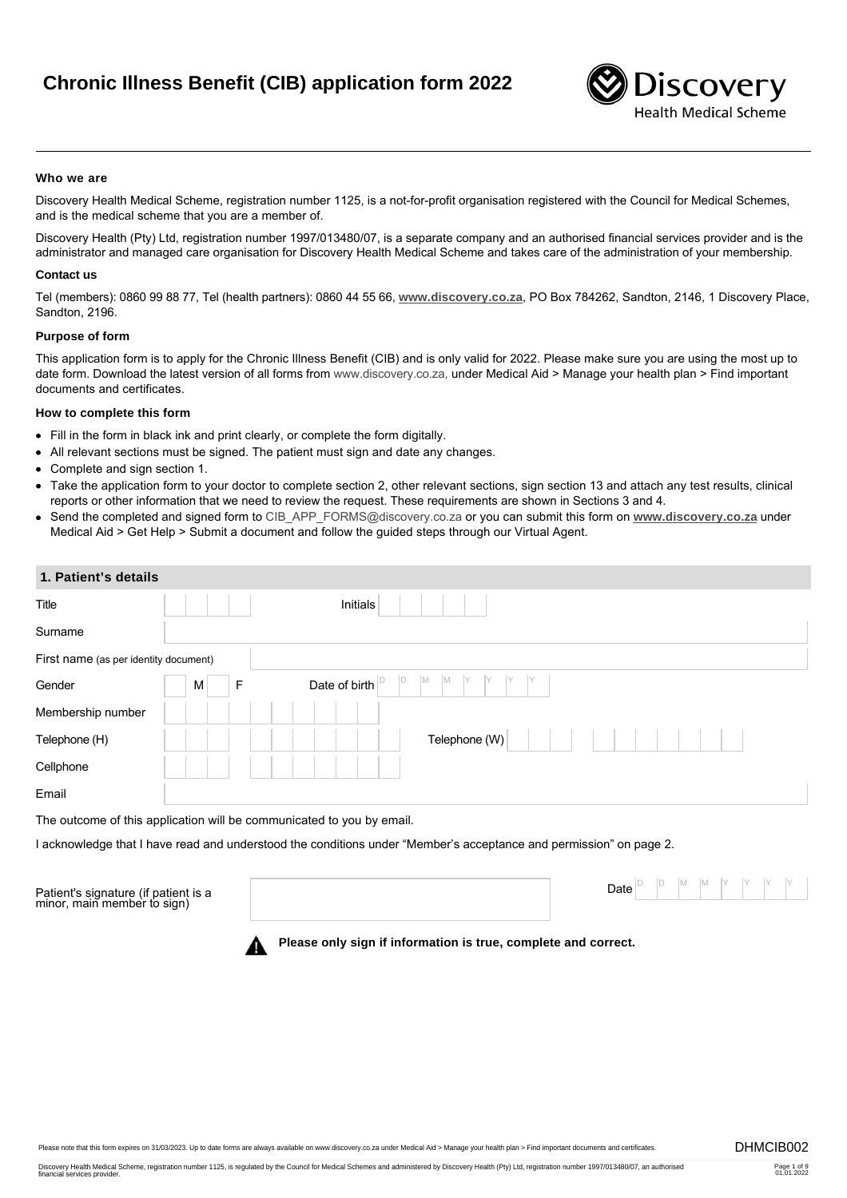# **Chronic Illness Benefit (CIB) application form 2022**



#### **Who we are**

Discovery Health Medical Scheme, registration number 1125, is a not-for-profit organisation registered with the Council for Medical Schemes, and is the medical scheme that you are a member of.

Discovery Health (Pty) Ltd, registration number 1997/013480/07, is a separate company and an authorised financial services provider and is the administrator and managed care organisation for Discovery Health Medical Scheme and takes care of the administration of your membership.

#### **Contact us**

Tel (members): 0860 99 88 77, Tel (health partners): 0860 44 55 66, **[www.discovery.co.za](http://www.discovery.co.za)**, PO Box 784262, Sandton, 2146, 1 Discovery Place, Sandton, 2196.

#### **Purpose of form**

This application form is to apply for the Chronic Illness Benefit (CIB) and is only valid for 2022. Please make sure you are using the most up to date form. Download the latest version of all forms from www.discovery.co.za, under Medical Aid > Manage your health plan > Find important documents and certificates.

#### **How to complete this form**

- Fill in the form in black ink and print clearly, or complete the form digitally.
- All relevant sections must be signed. The patient must sign and date any changes.
- Complete and sign section 1.
- Take the application form to your doctor to complete section 2, other relevant sections, sign section 13 and attach any test results, clinical reports or other information that we need to review the request. These requirements are shown in Sections 3 and 4.
- Send the completed and signed form to [CIB\\_APP\\_FORMS@discovery.co.za](mailto:CIB_APP_FORMS@discovery.co.za) or you can submit this form on **[www.discovery.co.za](http://www.discovery.co.za)** under Medical Aid > Get Help > Submit a document and follow the guided steps through our Virtual Agent.

| 1. Patient's details                  |                                         |  |
|---------------------------------------|-----------------------------------------|--|
| Title                                 | Initials                                |  |
| Surname                               |                                         |  |
| First name (as per identity document) |                                         |  |
| Gender                                | M<br>ID<br>M<br>Date of birth<br>F<br>M |  |
| Membership number                     |                                         |  |
| Telephone (H)                         | Telephone (W)                           |  |
| Cellphone                             |                                         |  |
| Email                                 |                                         |  |
|                                       |                                         |  |

The outcome of this application will be communicated to you by email.

I acknowledge that I have read and understood the conditions under "Member's acceptance and permission" on page 2.

Patient's signature (if patient is a minor, main member to sign) Date D D M M Y Y Y Y

**Please only sign if information is true, complete and correct.**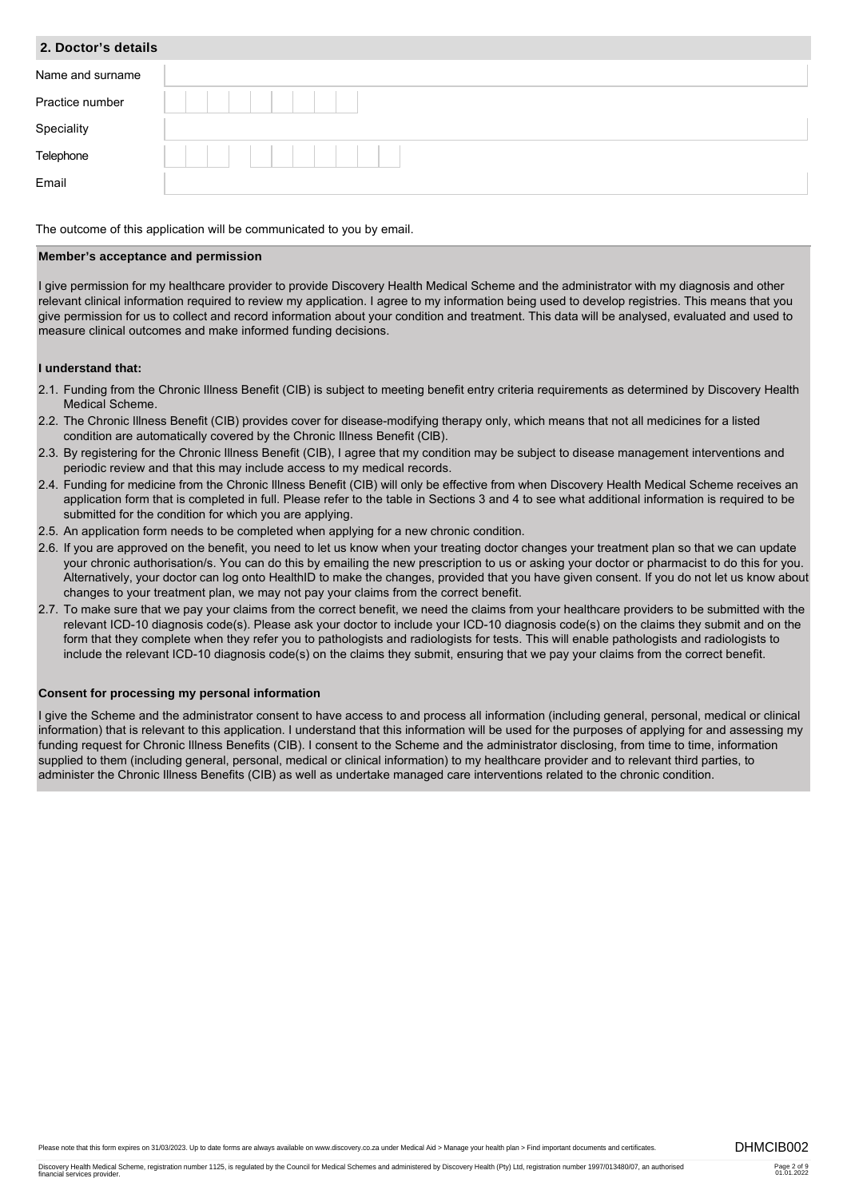| 2. Doctor's details |  |  |  |
|---------------------|--|--|--|
| Name and surname    |  |  |  |
| Practice number     |  |  |  |
| Speciality          |  |  |  |
| Telephone           |  |  |  |
| Email               |  |  |  |

The outcome of this application will be communicated to you by email.

#### **Member's acceptance and permission**

I give permission for my healthcare provider to provide Discovery Health Medical Scheme and the administrator with my diagnosis and other relevant clinical information required to review my application. I agree to my information being used to develop registries. This means that you give permission for us to collect and record information about your condition and treatment. This data will be analysed, evaluated and used to measure clinical outcomes and make informed funding decisions.

#### **I understand that:**

- 2.1. Funding from the Chronic Illness Benefit (CIB) is subject to meeting benefit entry criteria requirements as determined by Discovery Health Medical Scheme.
- 2.2. The Chronic Illness Benefit (CIB) provides cover for disease-modifying therapy only, which means that not all medicines for a listed condition are automatically covered by the Chronic Illness Benefit (CIB).
- 2.3. By registering for the Chronic Illness Benefit (CIB), I agree that my condition may be subject to disease management interventions and periodic review and that this may include access to my medical records.
- 2.4. Funding for medicine from the Chronic Illness Benefit (CIB) will only be effective from when Discovery Health Medical Scheme receives an application form that is completed in full. Please refer to the table in Sections 3 and 4 to see what additional information is required to be submitted for the condition for which you are applying.
- 2.5. An application form needs to be completed when applying for a new chronic condition.
- 2.6. If you are approved on the benefit, you need to let us know when your treating doctor changes your treatment plan so that we can update your chronic authorisation/s. You can do this by emailing the new prescription to us or asking your doctor or pharmacist to do this for you. Alternatively, your doctor can log onto HealthID to make the changes, provided that you have given consent. If you do not let us know about changes to your treatment plan, we may not pay your claims from the correct benefit.
- 2.7. To make sure that we pay your claims from the correct benefit, we need the claims from your healthcare providers to be submitted with the relevant ICD-10 diagnosis code(s). Please ask your doctor to include your ICD-10 diagnosis code(s) on the claims they submit and on the form that they complete when they refer you to pathologists and radiologists for tests. This will enable pathologists and radiologists to include the relevant ICD-10 diagnosis code(s) on the claims they submit, ensuring that we pay your claims from the correct benefit.

#### **Consent for processing my personal information**

I give the Scheme and the administrator consent to have access to and process all information (including general, personal, medical or clinical information) that is relevant to this application. I understand that this information will be used for the purposes of applying for and assessing my funding request for Chronic Illness Benefits (CIB). I consent to the Scheme and the administrator disclosing, from time to time, information supplied to them (including general, personal, medical or clinical information) to my healthcare provider and to relevant third parties, to administer the Chronic Illness Benefits (CIB) as well as undertake managed care interventions related to the chronic condition.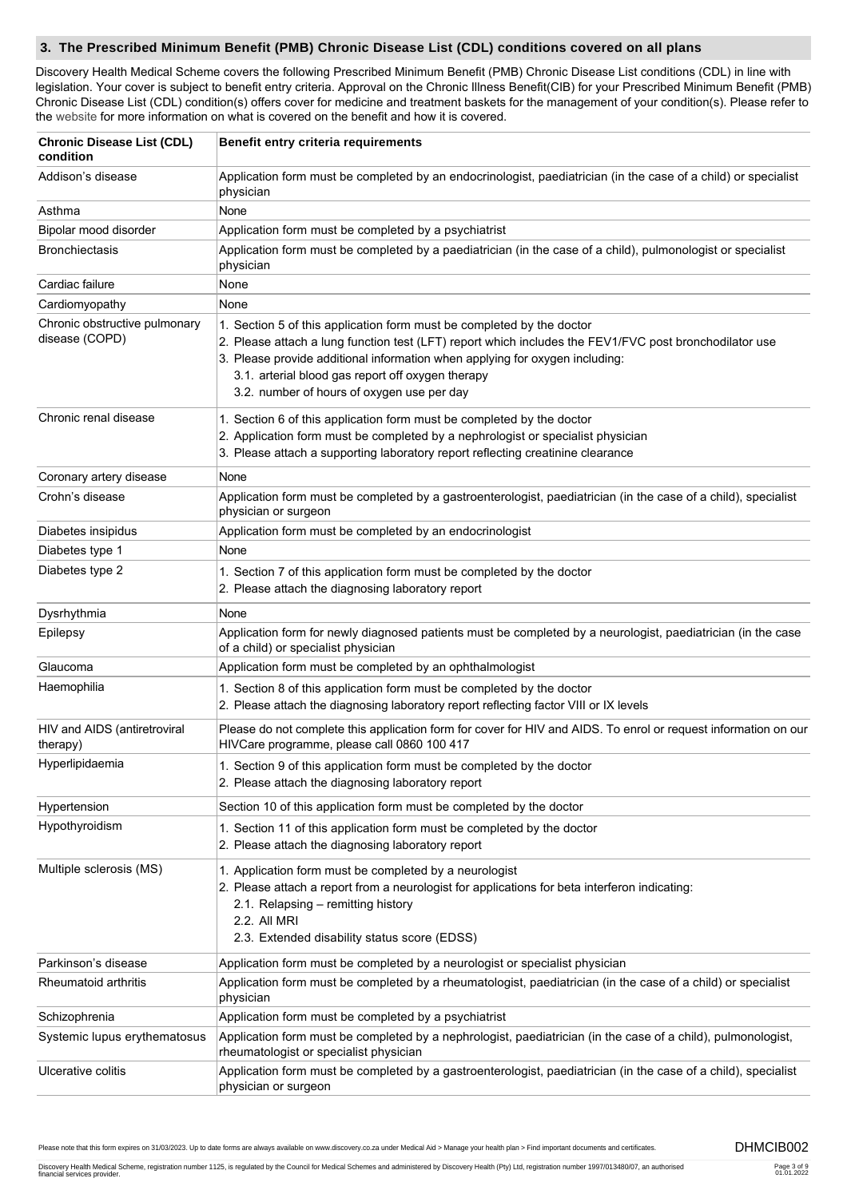#### **3. The Prescribed Minimum Benefit (PMB) Chronic Disease List (CDL) conditions covered on all plans**

Discovery Health Medical Scheme covers the following Prescribed Minimum Benefit (PMB) Chronic Disease List conditions (CDL) in line with legislation. Your cover is subject to benefit entry criteria. Approval on the Chronic Illness Benefit(CIB) for your Prescribed Minimum Benefit (PMB) Chronic Disease List (CDL) condition(s) offers cover for medicine and treatment baskets for the management of your condition(s). Please refer to the [website](http://www.discovery.co.za) for more information on what is covered on the benefit and how it is covered.

| <b>Chronic Disease List (CDL)</b><br>condition  | Benefit entry criteria requirements                                                                                                                                                                                                                                                                                                                                |  |  |  |
|-------------------------------------------------|--------------------------------------------------------------------------------------------------------------------------------------------------------------------------------------------------------------------------------------------------------------------------------------------------------------------------------------------------------------------|--|--|--|
| Addison's disease                               | Application form must be completed by an endocrinologist, paediatrician (in the case of a child) or specialist<br>physician                                                                                                                                                                                                                                        |  |  |  |
| Asthma                                          | None                                                                                                                                                                                                                                                                                                                                                               |  |  |  |
| Bipolar mood disorder                           | Application form must be completed by a psychiatrist                                                                                                                                                                                                                                                                                                               |  |  |  |
| <b>Bronchiectasis</b>                           | Application form must be completed by a paediatrician (in the case of a child), pulmonologist or specialist<br>physician                                                                                                                                                                                                                                           |  |  |  |
| Cardiac failure                                 | None                                                                                                                                                                                                                                                                                                                                                               |  |  |  |
| Cardiomyopathy                                  | None                                                                                                                                                                                                                                                                                                                                                               |  |  |  |
| Chronic obstructive pulmonary<br>disease (COPD) | 1. Section 5 of this application form must be completed by the doctor<br>2. Please attach a lung function test (LFT) report which includes the FEV1/FVC post bronchodilator use<br>3. Please provide additional information when applying for oxygen including:<br>3.1. arterial blood gas report off oxygen therapy<br>3.2. number of hours of oxygen use per day |  |  |  |
| Chronic renal disease                           | 1. Section 6 of this application form must be completed by the doctor                                                                                                                                                                                                                                                                                              |  |  |  |
|                                                 | 2. Application form must be completed by a nephrologist or specialist physician                                                                                                                                                                                                                                                                                    |  |  |  |
|                                                 | 3. Please attach a supporting laboratory report reflecting creatinine clearance                                                                                                                                                                                                                                                                                    |  |  |  |
| Coronary artery disease                         | None                                                                                                                                                                                                                                                                                                                                                               |  |  |  |
| Crohn's disease                                 | Application form must be completed by a gastroenterologist, paediatrician (in the case of a child), specialist<br>physician or surgeon                                                                                                                                                                                                                             |  |  |  |
| Diabetes insipidus                              | Application form must be completed by an endocrinologist                                                                                                                                                                                                                                                                                                           |  |  |  |
| Diabetes type 1                                 | None                                                                                                                                                                                                                                                                                                                                                               |  |  |  |
| Diabetes type 2                                 | 1. Section 7 of this application form must be completed by the doctor<br>2. Please attach the diagnosing laboratory report                                                                                                                                                                                                                                         |  |  |  |
| Dysrhythmia                                     | None                                                                                                                                                                                                                                                                                                                                                               |  |  |  |
| Epilepsy                                        | Application form for newly diagnosed patients must be completed by a neurologist, paediatrician (in the case<br>of a child) or specialist physician                                                                                                                                                                                                                |  |  |  |
| Glaucoma                                        | Application form must be completed by an ophthalmologist                                                                                                                                                                                                                                                                                                           |  |  |  |
| Haemophilia                                     | 1. Section 8 of this application form must be completed by the doctor<br>2. Please attach the diagnosing laboratory report reflecting factor VIII or IX levels                                                                                                                                                                                                     |  |  |  |
| HIV and AIDS (antiretroviral<br>therapy)        | Please do not complete this application form for cover for HIV and AIDS. To enrol or request information on our<br>HIVCare programme, please call 0860 100 417                                                                                                                                                                                                     |  |  |  |
| Hyperlipidaemia                                 | 1. Section 9 of this application form must be completed by the doctor<br>2. Please attach the diagnosing laboratory report                                                                                                                                                                                                                                         |  |  |  |
| Hypertension                                    | Section 10 of this application form must be completed by the doctor                                                                                                                                                                                                                                                                                                |  |  |  |
| Hypothyroidism                                  | 1. Section 11 of this application form must be completed by the doctor<br>2. Please attach the diagnosing laboratory report                                                                                                                                                                                                                                        |  |  |  |
| Multiple sclerosis (MS)                         | 1. Application form must be completed by a neurologist<br>2. Please attach a report from a neurologist for applications for beta interferon indicating:<br>2.1. Relapsing - remitting history<br>2.2. All MRI<br>2.3. Extended disability status score (EDSS)                                                                                                      |  |  |  |
| Parkinson's disease                             | Application form must be completed by a neurologist or specialist physician                                                                                                                                                                                                                                                                                        |  |  |  |
| Rheumatoid arthritis                            | Application form must be completed by a rheumatologist, paediatrician (in the case of a child) or specialist<br>physician                                                                                                                                                                                                                                          |  |  |  |
| Schizophrenia                                   | Application form must be completed by a psychiatrist                                                                                                                                                                                                                                                                                                               |  |  |  |
| Systemic lupus erythematosus                    | Application form must be completed by a nephrologist, paediatrician (in the case of a child), pulmonologist,<br>rheumatologist or specialist physician                                                                                                                                                                                                             |  |  |  |
| Ulcerative colitis                              | Application form must be completed by a gastroenterologist, paediatrician (in the case of a child), specialist<br>physician or surgeon                                                                                                                                                                                                                             |  |  |  |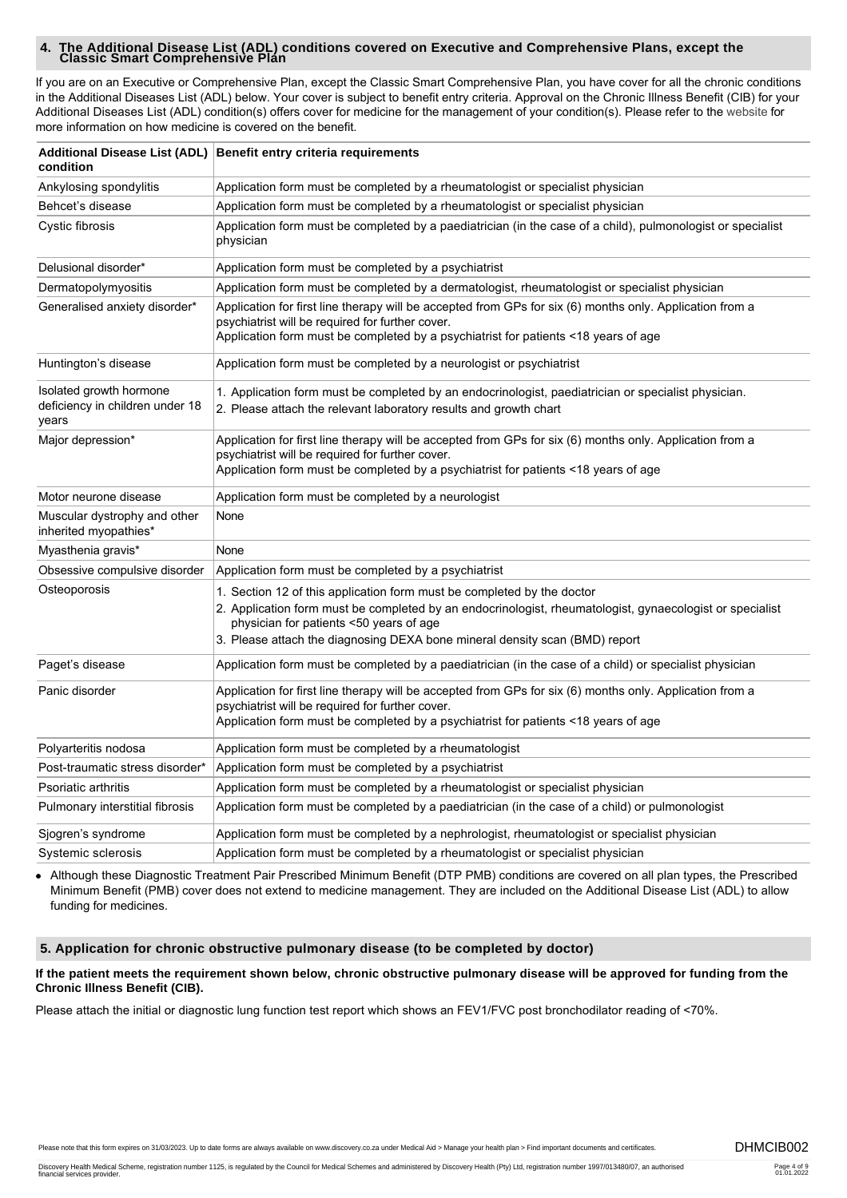# **4. The Additional Disease List (ADL) conditions covered on Executive and Comprehensive Plans, except the Classic Smart Comprehensive Plan**

If you are on an Executive or Comprehensive Plan, except the Classic Smart Comprehensive Plan, you have cover for all the chronic conditions in the Additional Diseases List (ADL) below. Your cover is subject to benefit entry criteria. Approval on the Chronic Illness Benefit (CIB) for your Additional Diseases List (ADL) condition(s) offers cover for medicine for the management of your condition(s). Please refer to the [website](http://www.discovery.co.za) for more information on how medicine is covered on the benefit.

| condition                                                           | Additional Disease List (ADL) Benefit entry criteria requirements                                                                                                                                                                                                                                            |  |  |  |
|---------------------------------------------------------------------|--------------------------------------------------------------------------------------------------------------------------------------------------------------------------------------------------------------------------------------------------------------------------------------------------------------|--|--|--|
| Ankylosing spondylitis                                              | Application form must be completed by a rheumatologist or specialist physician                                                                                                                                                                                                                               |  |  |  |
| Behcet's disease                                                    | Application form must be completed by a rheumatologist or specialist physician                                                                                                                                                                                                                               |  |  |  |
| Cystic fibrosis                                                     | Application form must be completed by a paediatrician (in the case of a child), pulmonologist or specialist<br>physician                                                                                                                                                                                     |  |  |  |
| Delusional disorder*                                                | Application form must be completed by a psychiatrist                                                                                                                                                                                                                                                         |  |  |  |
| Dermatopolymyositis                                                 | Application form must be completed by a dermatologist, rheumatologist or specialist physician                                                                                                                                                                                                                |  |  |  |
| Generalised anxiety disorder*                                       | Application for first line therapy will be accepted from GPs for six (6) months only. Application from a<br>psychiatrist will be required for further cover.<br>Application form must be completed by a psychiatrist for patients <18 years of age                                                           |  |  |  |
| Huntington's disease                                                | Application form must be completed by a neurologist or psychiatrist                                                                                                                                                                                                                                          |  |  |  |
| Isolated growth hormone<br>deficiency in children under 18<br>years | 1. Application form must be completed by an endocrinologist, paediatrician or specialist physician.<br>2. Please attach the relevant laboratory results and growth chart                                                                                                                                     |  |  |  |
| Major depression*                                                   | Application for first line therapy will be accepted from GPs for six (6) months only. Application from a<br>psychiatrist will be required for further cover.<br>Application form must be completed by a psychiatrist for patients <18 years of age                                                           |  |  |  |
| Motor neurone disease                                               | Application form must be completed by a neurologist                                                                                                                                                                                                                                                          |  |  |  |
| Muscular dystrophy and other<br>inherited myopathies*               | None                                                                                                                                                                                                                                                                                                         |  |  |  |
| Myasthenia gravis*                                                  | None                                                                                                                                                                                                                                                                                                         |  |  |  |
| Obsessive compulsive disorder                                       | Application form must be completed by a psychiatrist                                                                                                                                                                                                                                                         |  |  |  |
| Osteoporosis                                                        | 1. Section 12 of this application form must be completed by the doctor<br>2. Application form must be completed by an endocrinologist, rheumatologist, gynaecologist or specialist<br>physician for patients <50 years of age<br>3. Please attach the diagnosing DEXA bone mineral density scan (BMD) report |  |  |  |
| Paget's disease                                                     | Application form must be completed by a paediatrician (in the case of a child) or specialist physician                                                                                                                                                                                                       |  |  |  |
| Panic disorder                                                      | Application for first line therapy will be accepted from GPs for six (6) months only. Application from a<br>psychiatrist will be required for further cover.<br>Application form must be completed by a psychiatrist for patients <18 years of age                                                           |  |  |  |
| Polyarteritis nodosa                                                | Application form must be completed by a rheumatologist                                                                                                                                                                                                                                                       |  |  |  |
| Post-traumatic stress disorder*                                     | Application form must be completed by a psychiatrist                                                                                                                                                                                                                                                         |  |  |  |
| Psoriatic arthritis                                                 | Application form must be completed by a rheumatologist or specialist physician                                                                                                                                                                                                                               |  |  |  |
| Pulmonary interstitial fibrosis                                     | Application form must be completed by a paediatrician (in the case of a child) or pulmonologist                                                                                                                                                                                                              |  |  |  |
| Sjogren's syndrome                                                  | Application form must be completed by a nephrologist, rheumatologist or specialist physician                                                                                                                                                                                                                 |  |  |  |
| Systemic sclerosis                                                  | Application form must be completed by a rheumatologist or specialist physician                                                                                                                                                                                                                               |  |  |  |

Although these Diagnostic Treatment Pair Prescribed Minimum Benefit (DTP PMB) conditions are covered on all plan types, the Prescribed Minimum Benefit (PMB) cover does not extend to medicine management. They are included on the Additional Disease List (ADL) to allow funding for medicines.

#### **5. Application for chronic obstructive pulmonary disease (to be completed by doctor)**

#### **If the patient meets the requirement shown below, chronic obstructive pulmonary disease will be approved for funding from the Chronic Illness Benefit (CIB).**

Please attach the initial or diagnostic lung function test report which shows an FEV1/FVC post bronchodilator reading of <70%.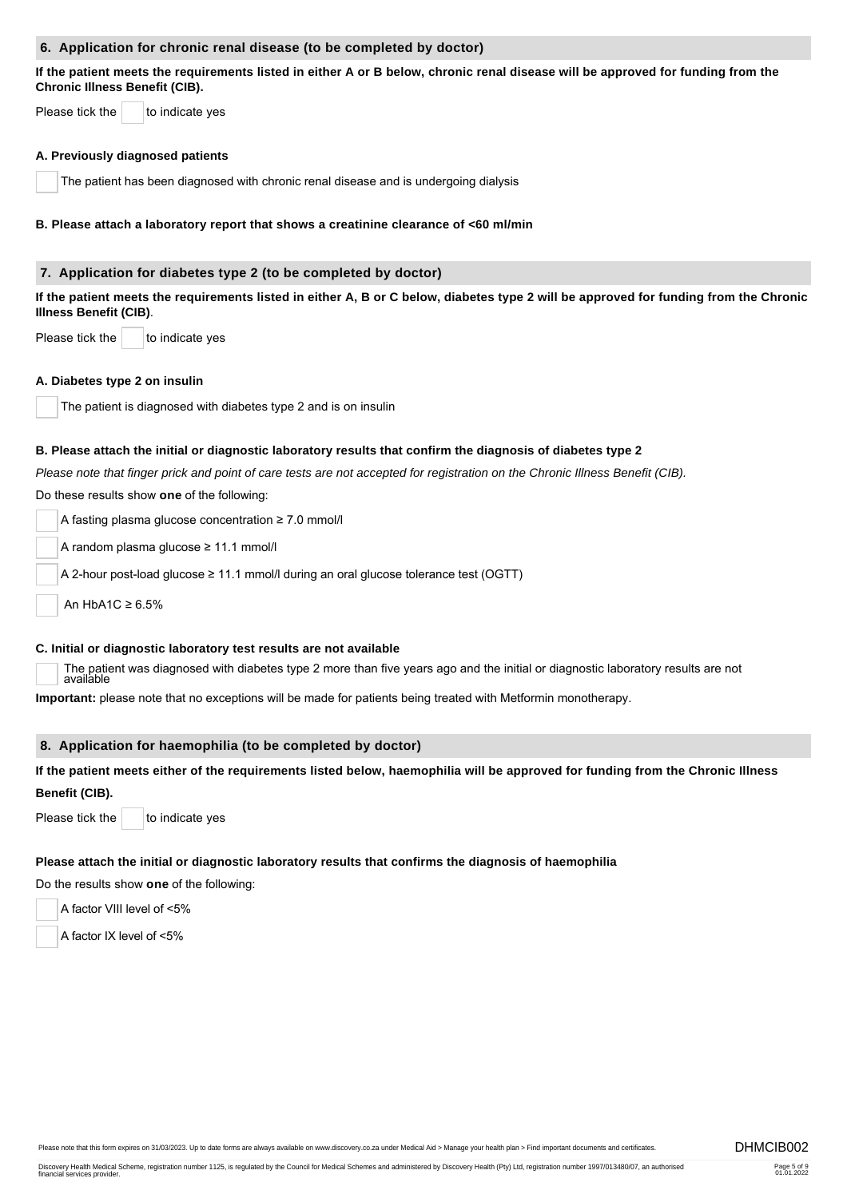#### **6. Application for chronic renal disease (to be completed by doctor)**

**If the patient meets the requirements listed in either A or B below, chronic renal disease will be approved for funding from the Chronic Illness Benefit (CIB).** 

Please tick the  $\vert$  to indicate yes

#### **A. Previously diagnosed patients**

The patient has been diagnosed with chronic renal disease and is undergoing dialysis

#### **B. Please attach a laboratory report that shows a creatinine clearance of <60 ml/min**

#### **7. Application for diabetes type 2 (to be completed by doctor)**

**If the patient meets the requirements listed in either A, B or C below, diabetes type 2 will be approved for funding from the Chronic Illness Benefit (CIB)**.

Please tick the  $\vert$  to indicate yes

#### **A. Diabetes type 2 on insulin**

The patient is diagnosed with diabetes type 2 and is on insulin

#### **B. Please attach the initial or diagnostic laboratory results that confirm the diagnosis of diabetes type 2**

*Please note that finger prick and point of care tests are not accepted for registration on the Chronic Illness Benefit (CIB).*

Do these results show **one** of the following:

A fasting plasma glucose concentration ≥ 7.0 mmol/l

A random plasma glucose ≥ 11.1 mmol/l

A 2-hour post-load glucose ≥ 11.1 mmol/l during an oral glucose tolerance test (OGTT)

An HbA1C ≥ 6.5%

#### **C. Initial or diagnostic laboratory test results are not available**

The patient was diagnosed with diabetes type 2 more than five years ago and the initial or diagnostic laboratory results are not available

**Important:** please note that no exceptions will be made for patients being treated with Metformin monotherapy.

#### **8. Application for haemophilia (to be completed by doctor)**

# **If the patient meets either of the requirements listed below, haemophilia will be approved for funding from the Chronic Illness Benefit (CIB).**

Please tick the  $\vert$  to indicate yes

#### **Please attach the initial or diagnostic laboratory results that confirms the diagnosis of haemophilia**

Do the results show **one** of the following:

A factor VIII level of <5%

A factor IX level of <5%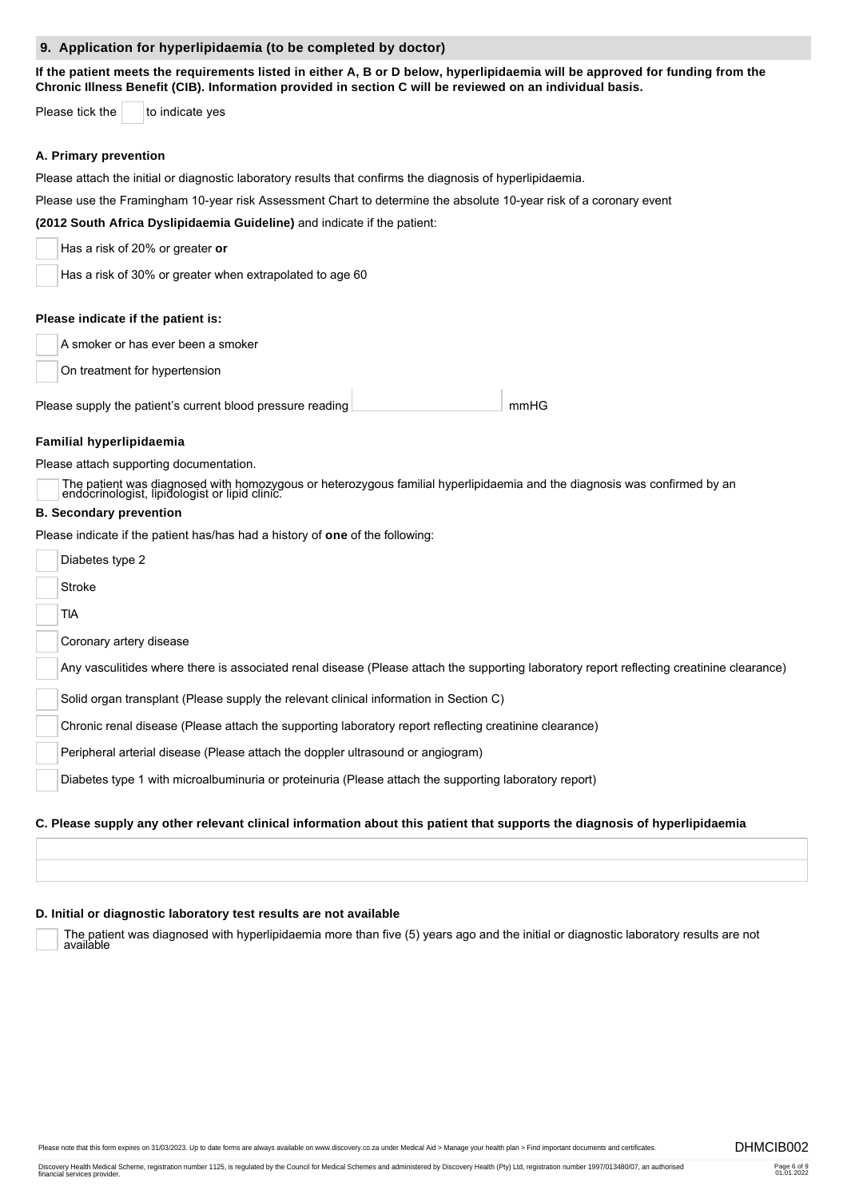#### **9. Application for hyperlipidaemia (to be completed by doctor)**

**If the patient meets the requirements listed in either A, B or D below, hyperlipidaemia will be approved for funding from the Chronic Illness Benefit (CIB). Information provided in section C will be reviewed on an individual basis.** 

Please tick the  $\vert$  to indicate yes

#### **A. Primary prevention**

Please attach the initial or diagnostic laboratory results that confirms the diagnosis of hyperlipidaemia.

Please use the Framingham 10-year risk Assessment Chart to determine the absolute 10-year risk of a coronary event

**(2012 South Africa Dyslipidaemia Guideline)** and indicate if the patient:

| Has a risk of 20% or greater or |  |
|---------------------------------|--|
|---------------------------------|--|

Has a risk of 30% or greater when extrapolated to age 60

#### **Please indicate if the patient is:**

A smoker or has ever been a smoker

On treatment for hypertension

 mmHG Please supply the patient's current blood pressure reading

#### **Familial hyperlipidaemia**

Please attach supporting documentation.

The patient was diagnosed with homozygous or heterozygous familial hyperlipidaemia and the diagnosis was confirmed by an endocrinologist, lipidologist or lipid clinic.

#### **B. Secondary prevention**

Please indicate if the patient has/has had a history of **one** of the following:

| Diabetes type 2                                                                                                                           |
|-------------------------------------------------------------------------------------------------------------------------------------------|
| Stroke                                                                                                                                    |
| tia                                                                                                                                       |
| Coronary artery disease                                                                                                                   |
| Any vasculitides where there is associated renal disease (Please attach the supporting laboratory report reflecting creatinine clearance) |
| Solid organ transplant (Please supply the relevant clinical information in Section C)                                                     |
| Chronic renal disease (Please attach the supporting laboratory report reflecting creatinine clearance)                                    |
| Peripheral arterial disease (Please attach the doppler ultrasound or angiogram)                                                           |
| Diabetes type 1 with microalbuminuria or proteinuria (Please attach the supporting laboratory report)                                     |
| C. Please supply any other relevant clinical information about this patient that supports the diagnosis of hyperlipidaemia                |

#### **D. Initial or diagnostic laboratory test results are not available**

The patient was diagnosed with hyperlipidaemia more than five (5) years ago and the initial or diagnostic laboratory results are not available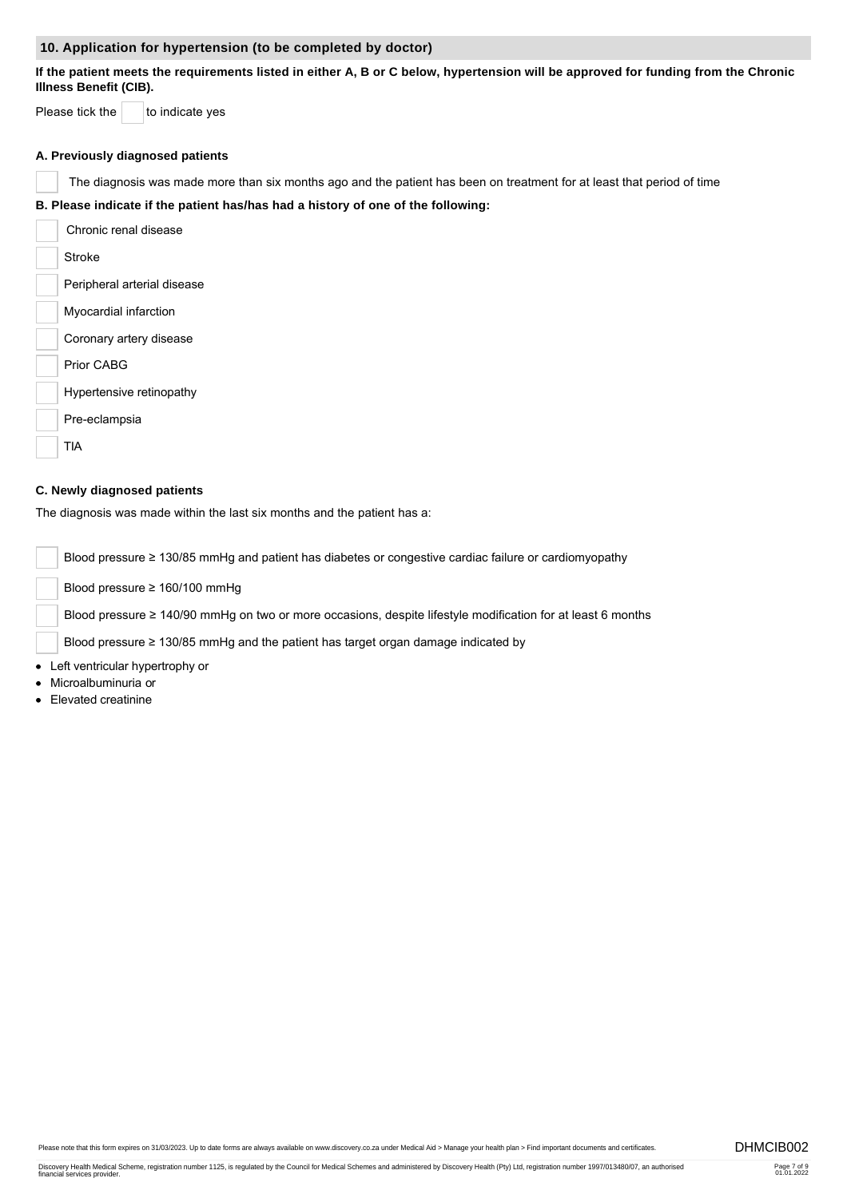#### **10. Application for hypertension (to be completed by doctor)**

**If the patient meets the requirements listed in either A, B or C below, hypertension will be approved for funding from the Chronic Illness Benefit (CIB).**

Please tick the  $\vert$  to indicate yes

#### **A. Previously diagnosed patients**

The diagnosis was made more than six months ago and the patient has been on treatment for at least that period of time

**B. Please indicate if the patient has/has had a history of one of the following:**

Chronic renal disease Stroke Peripheral arterial disease Myocardial infarction Coronary artery disease Prior CABG Hypertensive retinopathy Pre-eclampsia TIA

#### **C. Newly diagnosed patients**

The diagnosis was made within the last six months and the patient has a:

Blood pressure ≥ 130/85 mmHg and patient has diabetes or congestive cardiac failure or cardiomyopathy

Blood pressure ≥ 160/100 mmHg

Blood pressure ≥ 140/90 mmHg on two or more occasions, despite lifestyle modification for at least 6 months

Blood pressure ≥ 130/85 mmHg and the patient has target organ damage indicated by

Left ventricular hypertrophy or

- Microalbuminuria or
- Elevated creatinine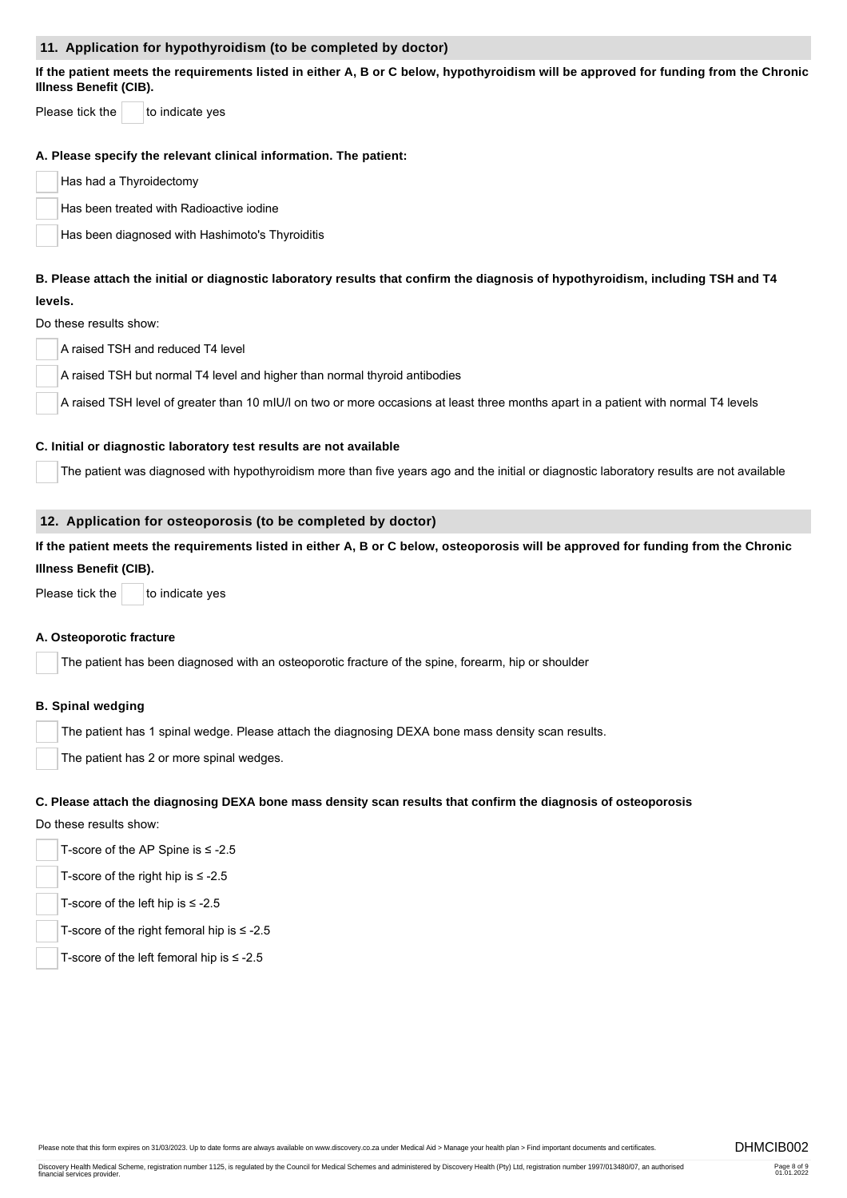#### **11. Application for hypothyroidism (to be completed by doctor)**

**If the patient meets the requirements listed in either A, B or C below, hypothyroidism will be approved for funding from the Chronic Illness Benefit (CIB).**

Please tick the  $\vert$  to indicate yes

#### **A. Please specify the relevant clinical information. The patient:**

Has had a Thyroidectomy

Has been treated with Radioactive iodine

Has been diagnosed with Hashimoto's Thyroiditis

#### **B. Please attach the initial or diagnostic laboratory results that confirm the diagnosis of hypothyroidism, including TSH and T4 levels.**

## Do these results show:

A raised TSH and reduced T4 level

A raised TSH but normal T4 level and higher than normal thyroid antibodies

A raised TSH level of greater than 10 mIU/l on two or more occasions at least three months apart in a patient with normal T4 levels

#### **C. Initial or diagnostic laboratory test results are not available**

The patient was diagnosed with hypothyroidism more than five years ago and the initial or diagnostic laboratory results are not available

### **12. Application for osteoporosis (to be completed by doctor)**

**If the patient meets the requirements listed in either A, B or C below, osteoporosis will be approved for funding from the Chronic Illness Benefit (CIB).** 

Please tick the  $\vert$  to indicate yes

#### **A. Osteoporotic fracture**

The patient has been diagnosed with an osteoporotic fracture of the spine, forearm, hip or shoulder

#### **B. Spinal wedging**

The patient has 1 spinal wedge. Please attach the diagnosing DEXA bone mass density scan results.

The patient has 2 or more spinal wedges.

#### **C. Please attach the diagnosing DEXA bone mass density scan results that confirm the diagnosis of osteoporosis**

Do these results show:

- T-score of the AP Spine is ≤ -2.5
- T-score of the right hip is ≤ -2.5
- T-score of the left hip is ≤ -2.5
- T-score of the right femoral hip is ≤ -2.5
- T-score of the left femoral hip is  $\leq$  -2.5